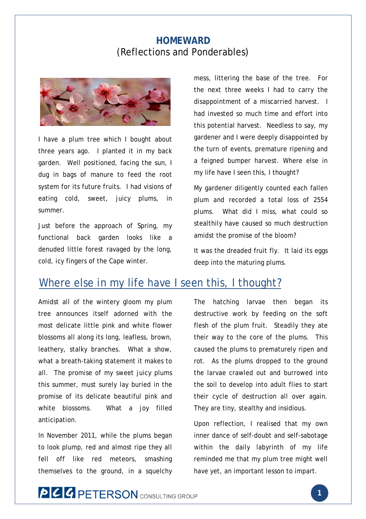#### **HOMEWARD** (Reflections and Ponderables)



I have a plum tree which I bought about three years ago. I planted it in my back garden. Well positioned, facing the sun, I dug in bags of manure to feed the root system for its future fruits. I had visions of eating cold, sweet, juicy plums, in summer.

Just before the approach of Spring, my functional back garden looks like a denuded little forest ravaged by the long, cold, icy fingers of the Cape winter.

mess, littering the base of the tree. For the next three weeks I had to carry the disappointment of a miscarried harvest. I had invested so much time and effort into this potential harvest. Needless to say, my gardener and I were deeply disappointed by the turn of events, premature ripening and a feigned bumper harvest. Where else in my life have I seen this, I thought?

My gardener diligently counted each fallen plum and recorded a total loss of 2554 plums. What did I miss, what could so stealthily have caused so much destruction amidst the promise of the bloom?

It was the dreaded fruit fly. It laid its eggs deep into the maturing plums.

# Where else in my life have I seen this, I thought?

Amidst all of the wintery gloom my plum tree announces itself adorned with the most delicate little pink and white flower blossoms all along its long, leafless, brown, leathery, stalky branches. What a show, what a breath-taking statement it makes to all. The promise of my sweet juicy plums this summer, must surely lay buried in the promise of its delicate beautiful pink and white blossoms. What a joy filled anticipation.

In November 2011, while the plums began to look plump, red and almost ripe they all fell off like red meteors, smashing themselves to the ground, in a squelchy The hatching larvae then began its destructive work by feeding on the soft flesh of the plum fruit. Steadily they ate their way to the core of the plums. This caused the plums to prematurely ripen and rot. As the plums dropped to the ground the larvae crawled out and burrowed into the soil to develop into adult flies to start their cycle of destruction all over again. They are tiny, stealthy and insidious.

Upon reflection, I realised that my own inner dance of self-doubt and self-sabotage within the daily labyrinth of my life reminded me that my plum tree might well have yet, an important lesson to impart.

# **PCC PETERSON** CONSULTING GROUP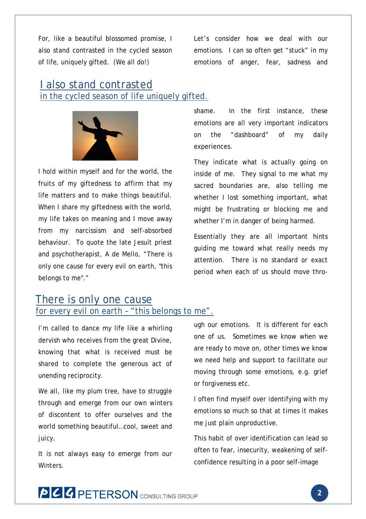For, like a beautiful blossomed promise, I also stand contrasted in the cycled season of life, uniquely gifted. (We all do!)

Let's consider how we deal with our emotions. I can so often get "stuck" in my emotions of anger, fear, sadness and

### I also stand contrasted in the cycled season of life uniquely gifted.



I hold within myself and for the world, the fruits of my giftedness to affirm that my life matters and to make things beautiful. When I share my giftedness with the world, my life takes on meaning and I move away from my narcissism and self-absorbed behaviour. To quote the late Jesuit priest and psychotherapist, A de Mello, "There is only one cause for every evil on earth, "this belongs to me"."

shame. In the first instance, these emotions are all very important indicators on the "dashboard" of my daily experiences.

They indicate what is actually going on inside of me. They signal to me what my sacred boundaries are, also telling me whether I lost something important, what might be frustrating or blocking me and whether I'm in danger of being harmed.

Essentially they are all important hints guiding me toward what really needs my attention. There is no standard or exact period when each of us should move thro-

#### There is only one cause for every evil on earth – "this belongs to me".

I'm called to dance my life like a whirling

dervish who receives from the great Divine, knowing that what is received must be shared to complete the generous act of unending reciprocity.

We all, like my plum tree, have to struggle through and emerge from our own winters of discontent to offer ourselves and the world something beautiful…cool, sweet and juicy.

It is not always easy to emerge from our **Winters** 

ugh our emotions. It is different for each one of us. Sometimes we know when we are ready to move on, other times we know we need help and support to facilitate our moving through some emotions, e.g. grief or forgiveness etc.

I often find myself over identifying with my emotions so much so that at times it makes me just plain unproductive.

This habit of over identification can lead so often to fear, insecurity, weakening of selfconfidence resulting in a poor self-image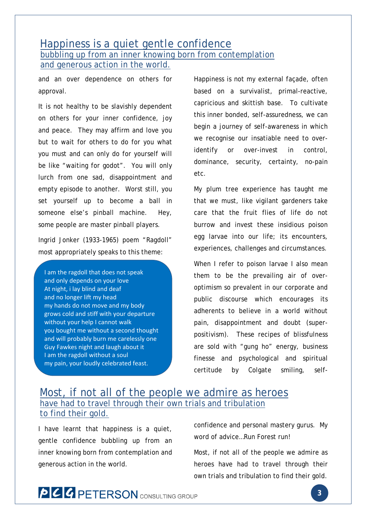#### Happiness is a quiet gentle confidence bubbling up from an inner knowing born from contemplation and generous action in the world.

and an over dependence on others for approval.

It is not healthy to be slavishly dependent on others for your inner confidence, joy and peace. They may affirm and love you but to wait for others to do for you what you must and can only do for yourself will be like "waiting for godot". You will only lurch from one sad, disappointment and empty episode to another. Worst still, you set yourself up to become a ball in someone else's pinball machine. Hey, some people are master pinball players.

Ingrid Jonker (1933-1965) poem "Ragdoll" most appropriately speaks to this theme:

I am the ragdoll that does not speak and only depends on your love At night, i lay blind and deaf and no longer lift my head my hands do not move and my body grows cold and stiff with your departure without your help I cannot walk you bought me without a second thought and will probably burn me carelessly one Guy Fawkes night and laugh about it I am the ragdoll without a soul my pain, your loudly celebrated feast.

Happiness is not my external façade, often based on a survivalist, primal-reactive, capricious and skittish base. To cultivate this inner bonded, self-assuredness, we can begin a journey of self-awareness in which we recognise our insatiable need to overidentify or over-invest in control, dominance, security, certainty, no-pain etc.

My plum tree experience has taught me that we must, like vigilant gardeners take care that the fruit flies of life do not burrow and invest these insidious poison egg larvae into our life; its encounters, experiences, challenges and circumstances.

When I refer to poison larvae I also mean them to be the prevailing air of overoptimism so prevalent in our corporate and public discourse which encourages its adherents to believe in a world without pain, disappointment and doubt (superpositivism). These recipes of blissfulness are sold with "gung ho" energy, business finesse and psychological and spiritual certitude by Colgate smiling, self-

### Most, if not all of the people we admire as heroes have had to travel through their own trials and tribulation to find their gold.

I have learnt that happiness is a quiet, gentle confidence bubbling up from an inner knowing born from contemplation and generous action in the world.

confidence and personal mastery gurus. My word of advice…Run Forest run!

Most, if not all of the people we admire as heroes have had to travel through their own trials and tribulation to find their gold.

# **PCC PETERSON** CONSULTING GROUP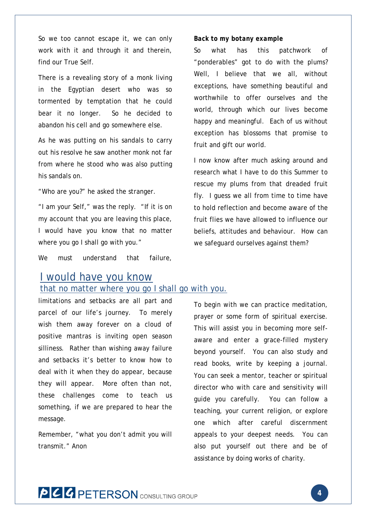So we too cannot escape it, we can only work with it and through it and therein, find our True Self.

There is a revealing story of a monk living in the Egyptian desert who was so tormented by temptation that he could bear it no longer. So he decided to abandon his cell and go somewhere else.

As he was putting on his sandals to carry out his resolve he saw another monk not far from where he stood who was also putting his sandals on.

"Who are you?" he asked the stranger.

"I am your Self," was the reply. "If it is on my account that you are leaving this place, I would have you know that no matter where you go I shall go with you."

We must understand that failure,

#### *Back to my botany example*

So what has this patchwork of "ponderables" got to do with the plums? Well, I believe that we all, without exceptions, have something beautiful and worthwhile to offer ourselves and the world, through which our lives become happy and meaningful. Each of us without exception has blossoms that promise to fruit and gift our world.

I now know after much asking around and research what I have to do this Summer to rescue my plums from that dreaded fruit fly. I guess we all from time to time have to hold reflection and become aware of the fruit flies we have allowed to influence our beliefs, attitudes and behaviour. How can we safeguard ourselves against them?

# I would have you know

#### that no matter where you go I shall go with you.

limitations and setbacks are all part and parcel of our life's journey. To merely wish them away forever on a cloud of positive mantras is inviting open season silliness. Rather than wishing away failure and setbacks it's better to know how to deal with it when they do appear, because they will appear. More often than not, these challenges come to teach us something, if we are prepared to hear the message.

Remember, "what you don't admit you will transmit." Anon

To begin with we can practice meditation, prayer or some form of spiritual exercise. This will assist you in becoming more selfaware and enter a grace-filled mystery beyond yourself. You can also study and read books, write by keeping a journal. You can seek a mentor, teacher or spiritual director who with care and sensitivity will guide you carefully. You can follow a teaching, your current religion, or explore one which after careful discernment appeals to your deepest needs. You can also put yourself out there and be of assistance by doing works of charity.